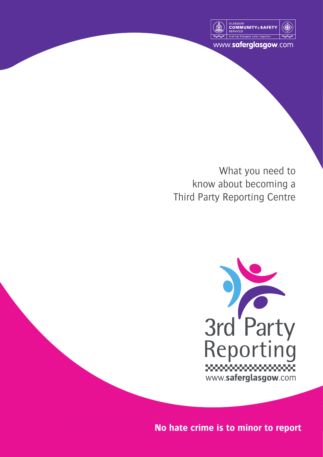

www.saferglasgow.com

What you need to know about becoming a Third Party Reporting Centre



**No hate crime is to minor to report**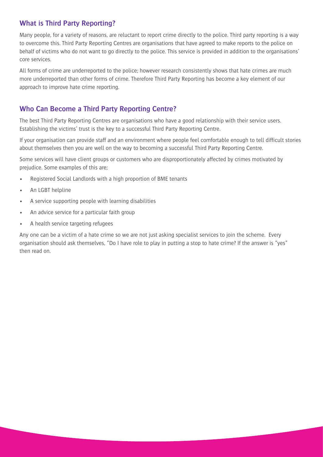### **What is Third Party Reporting?**

Many people, for a variety of reasons, are reluctant to report crime directly to the police. Third party reporting is a way to overcome this. Third Party Reporting Centres are organisations that have agreed to make reports to the police on behalf of victims who do not want to go directly to the police. This service is provided in addition to the organisations' core services.

All forms of crime are underreported to the police; however research consistently shows that hate crimes are much more underreported than other forms of crime. Therefore Third Party Reporting has become a key element of our approach to improve hate crime reporting.

# **Who Can Become a Third Party Reporting Centre?**

The best Third Party Reporting Centres are organisations who have a good relationship with their service users. Establishing the victims' trust is the key to a successful Third Party Reporting Centre.

If your organisation can provide staff and an environment where people feel comfortable enough to tell difficult stories about themselves then you are well on the way to becoming a successful Third Party Reporting Centre.

Some services will have client groups or customers who are disproportionately affected by crimes motivated by prejudice. Some examples of this are;

- Registered Social Landlords with a high proportion of BME tenants
- An LGBT helpline
- A service supporting people with learning disabilities
- An advice service for a particular faith group
- A health service targeting refugees

Any one can be a victim of a hate crime so we are not just asking specialist services to join the scheme. Every organisation should ask themselves, "Do I have role to play in putting a stop to hate crime? If the answer is "yes" then read on.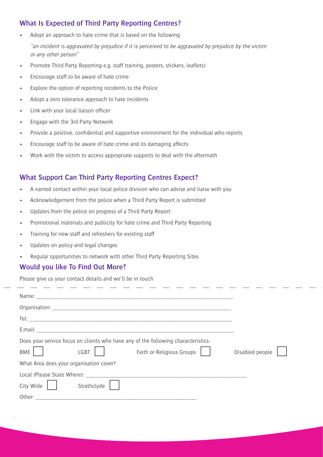## **What Is Expected of Third Party Reporting Centres?**

- Adopt an approach to hate crime that is based on the following "an incident is aggravated by prejudice if it is perceived to be aggravated by prejudice by the victim or any other person"
- Promote Third Party Reporting e.g. staff training, posters, stickers, leaflets)
- Encourage staff to be aware of hate crime
- Explore the option of reporting incidents to the Police
- Adopt a zero tolerance approach to hate incidents
- Link with your local liaison officer
- Engage with the 3rd Party Network
- Provide a positive, confidential and supportive environment for the individual who reports
- Encourage staff to be aware of hate crime and its damaging affects
- Work with the victim to access appropriate supports to deal with the aftermath

# **What Support Can Third Party Reporting Centres Expect?**

- A named contact within your local police division who can advise and liaise with you
- Acknowledgement from the police when a Third Party Report is submitted
- Updates from the police on progress of a Third Party Report
- Promotional materials and publicity for hate crime and Third Party Reporting
- Training for new staff and refreshers for existing staff
- Updates on policy and legal changes
- Regular opportunities to network with other Third Party Reporting Sites

#### **Would you like To Find Out More?**

Please give us your contact details and we'll be in touch

| Does your service focus on clients who have any of the following characteristics:<br>Faith or Religious Groups    <br>LGBT<br>BME<br>What Area does your organisation cover?                                                                                                                                                                                                                                                                                                                 | Disabled people |
|----------------------------------------------------------------------------------------------------------------------------------------------------------------------------------------------------------------------------------------------------------------------------------------------------------------------------------------------------------------------------------------------------------------------------------------------------------------------------------------------|-----------------|
| Local (Please State Where): Note that the state of the state of the state of the state of the state of the state of the state of the state of the state of the state of the state of the state of the state of the state of th<br>City Wide<br>Strathclyde<br>Other: and the control of the control of the control of the control of the control of the control of the control of the control of the control of the control of the control of the control of the control of the control of t |                 |